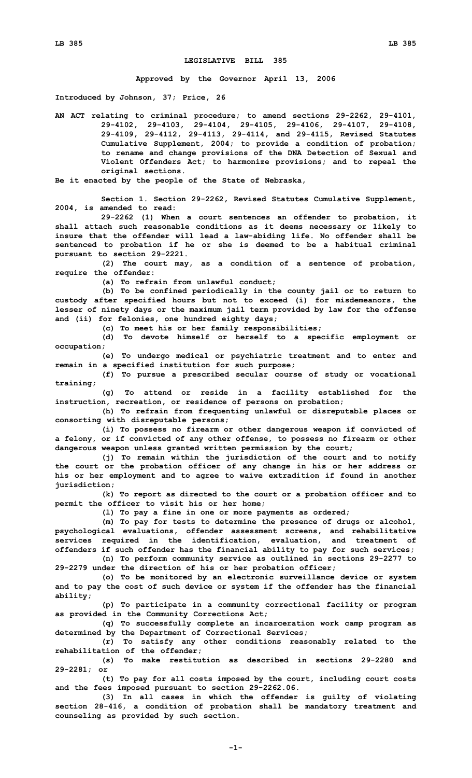## **LEGISLATIVE BILL 385**

**Approved by the Governor April 13, 2006**

**Introduced by Johnson, 37; Price, 26**

**AN ACT relating to criminal procedure; to amend sections 29-2262, 29-4101, 29-4102, 29-4103, 29-4104, 29-4105, 29-4106, 29-4107, 29-4108, 29-4109, 29-4112, 29-4113, 29-4114, and 29-4115, Revised Statutes Cumulative Supplement, 2004; to provide <sup>a</sup> condition of probation; to rename and change provisions of the DNA Detection of Sexual and Violent Offenders Act; to harmonize provisions; and to repeal the original sections.**

**Be it enacted by the people of the State of Nebraska,**

**Section 1. Section 29-2262, Revised Statutes Cumulative Supplement, 2004, is amended to read:**

**29-2262 (1) When <sup>a</sup> court sentences an offender to probation, it shall attach such reasonable conditions as it deems necessary or likely to insure that the offender will lead <sup>a</sup> law-abiding life. No offender shall be sentenced to probation if he or she is deemed to be <sup>a</sup> habitual criminal pursuant to section 29-2221.**

**(2) The court may, as <sup>a</sup> condition of <sup>a</sup> sentence of probation, require the offender:**

**(a) To refrain from unlawful conduct;**

**(b) To be confined periodically in the county jail or to return to custody after specified hours but not to exceed (i) for misdemeanors, the lesser of ninety days or the maximum jail term provided by law for the offense and (ii) for felonies, one hundred eighty days;**

**(c) To meet his or her family responsibilities;**

**(d) To devote himself or herself to <sup>a</sup> specific employment or occupation;**

**(e) To undergo medical or psychiatric treatment and to enter and remain in <sup>a</sup> specified institution for such purpose;**

**(f) To pursue <sup>a</sup> prescribed secular course of study or vocational training;**

**(g) To attend or reside in <sup>a</sup> facility established for the instruction, recreation, or residence of persons on probation;**

**(h) To refrain from frequenting unlawful or disreputable places or consorting with disreputable persons;**

**(i) To possess no firearm or other dangerous weapon if convicted of <sup>a</sup> felony, or if convicted of any other offense, to possess no firearm or other dangerous weapon unless granted written permission by the court;**

**(j) To remain within the jurisdiction of the court and to notify the court or the probation officer of any change in his or her address or his or her employment and to agree to waive extradition if found in another jurisdiction;**

**(k) To report as directed to the court or <sup>a</sup> probation officer and to permit the officer to visit his or her home;**

**(l) To pay <sup>a</sup> fine in one or more payments as ordered;**

**(m) To pay for tests to determine the presence of drugs or alcohol, psychological evaluations, offender assessment screens, and rehabilitative services required in the identification, evaluation, and treatment of offenders if such offender has the financial ability to pay for such services; (n) To perform community service as outlined in sections 29-2277 to**

**29-2279 under the direction of his or her probation officer;**

**(o) To be monitored by an electronic surveillance device or system and to pay the cost of such device or system if the offender has the financial ability;**

**(p) To participate in <sup>a</sup> community correctional facility or program as provided in the Community Corrections Act;**

**(q) To successfully complete an incarceration work camp program as determined by the Department of Correctional Services;**

**(r) To satisfy any other conditions reasonably related to the rehabilitation of the offender;**

**(s) To make restitution as described in sections 29-2280 and 29-2281; or**

**(t) To pay for all costs imposed by the court, including court costs and the fees imposed pursuant to section 29-2262.06.**

**(3) In all cases in which the offender is guilty of violating section 28-416, <sup>a</sup> condition of probation shall be mandatory treatment and counseling as provided by such section.**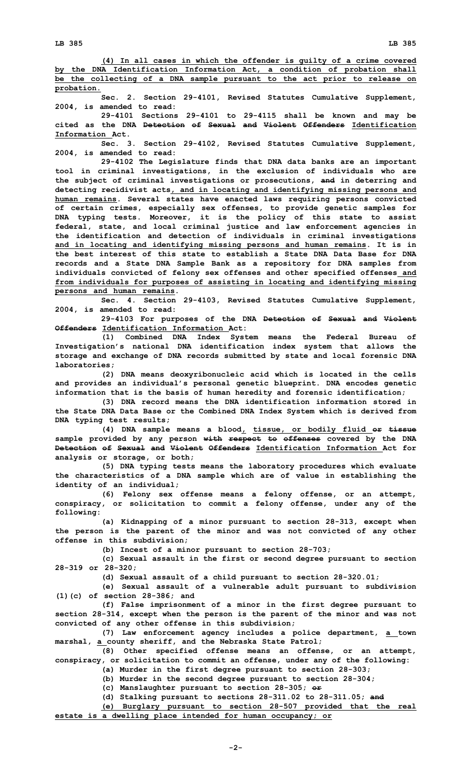**(4) In all cases in which the offender is guilty of <sup>a</sup> crime covered by the DNA Identification Information Act, <sup>a</sup> condition of probation shall be the collecting of <sup>a</sup> DNA sample pursuant to the act prior to release on probation.**

**Sec. 2. Section 29-4101, Revised Statutes Cumulative Supplement, 2004, is amended to read:**

**29-4101 Sections 29-4101 to 29-4115 shall be known and may be cited as the DNA Detection of Sexual and Violent Offenders Identification Information Act.**

**Sec. 3. Section 29-4102, Revised Statutes Cumulative Supplement, 2004, is amended to read:**

**29-4102 The Legislature finds that DNA data banks are an important tool in criminal investigations, in the exclusion of individuals who are the subject of criminal investigations or prosecutions, and in deterring and detecting recidivist acts, and in locating and identifying missing persons and human remains. Several states have enacted laws requiring persons convicted of certain crimes, especially sex offenses, to provide genetic samples for DNA typing tests. Moreover, it is the policy of this state to assist federal, state, and local criminal justice and law enforcement agencies in the identification and detection of individuals in criminal investigations and in locating and identifying missing persons and human remains. It is in the best interest of this state to establish a State DNA Data Base for DNA records and <sup>a</sup> State DNA Sample Bank as <sup>a</sup> repository for DNA samples from individuals convicted of felony sex offenses and other specified offenses and from individuals for purposes of assisting in locating and identifying missing persons and human remains.**

**Sec. 4. Section 29-4103, Revised Statutes Cumulative Supplement, 2004, is amended to read:**

**29-4103 For purposes of the DNA Detection of Sexual and Violent Offenders Identification Information Act:**

**(1) Combined DNA Index System means the Federal Bureau of Investigation's national DNA identification index system that allows the storage and exchange of DNA records submitted by state and local forensic DNA laboratories;**

**(2) DNA means deoxyribonucleic acid which is located in the cells and provides an individual's personal genetic blueprint. DNA encodes genetic information that is the basis of human heredity and forensic identification;**

**(3) DNA record means the DNA identification information stored in the State DNA Data Base or the Combined DNA Index System which is derived from DNA typing test results;**

**(4) DNA sample means <sup>a</sup> blood, tissue, or bodily fluid or tissue sample provided by any person with respect to offenses covered by the DNA Detection of Sexual and Violent Offenders Identification Information Act for analysis or storage, or both;**

**(5) DNA typing tests means the laboratory procedures which evaluate the characteristics of <sup>a</sup> DNA sample which are of value in establishing the identity of an individual;**

**(6) Felony sex offense means <sup>a</sup> felony offense, or an attempt, conspiracy, or solicitation to commit <sup>a</sup> felony offense, under any of the following:**

**(a) Kidnapping of <sup>a</sup> minor pursuant to section 28-313, except when the person is the parent of the minor and was not convicted of any other offense in this subdivision;**

**(b) Incest of <sup>a</sup> minor pursuant to section 28-703;**

**(c) Sexual assault in the first or second degree pursuant to section 28-319 or 28-320;**

**(d) Sexual assault of <sup>a</sup> child pursuant to section 28-320.01;**

**(e) Sexual assault of <sup>a</sup> vulnerable adult pursuant to subdivision (1)(c) of section 28-386; and**

**(f) False imprisonment of <sup>a</sup> minor in the first degree pursuant to section 28-314, except when the person is the parent of the minor and was not convicted of any other offense in this subdivision;**

**(7) Law enforcement agency includes <sup>a</sup> police department, <sup>a</sup> town marshal, <sup>a</sup> county sheriff, and the Nebraska State Patrol;**

**(8) Other specified offense means an offense, or an attempt, conspiracy, or solicitation to commit an offense, under any of the following:**

**(a) Murder in the first degree pursuant to section 28-303;**

**(b) Murder in the second degree pursuant to section 28-304;**

**(c) Manslaughter pursuant to section 28-305; or**

**(d) Stalking pursuant to sections 28-311.02 to 28-311.05; and**

**(e) Burglary pursuant to section 28-507 provided that the real estate is <sup>a</sup> dwelling place intended for human occupancy; or**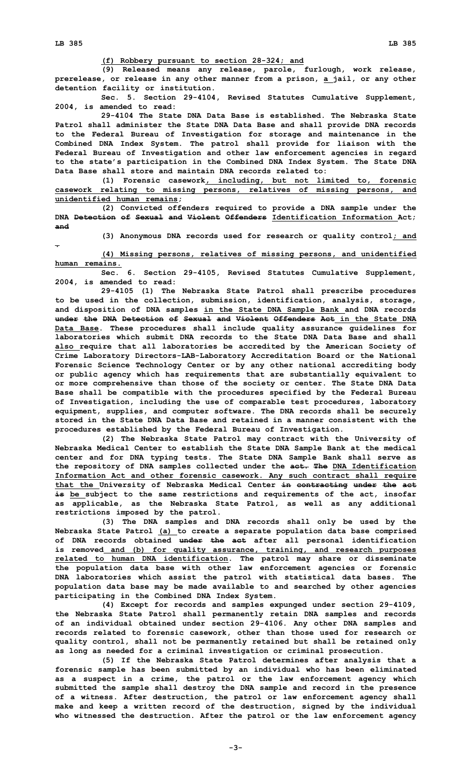**(f) Robbery pursuant to section 28-324; and**

**(9) Released means any release, parole, furlough, work release, prerelease, or release in any other manner from <sup>a</sup> prison, <sup>a</sup> jail, or any other detention facility or institution.**

**Sec. 5. Section 29-4104, Revised Statutes Cumulative Supplement, 2004, is amended to read:**

**29-4104 The State DNA Data Base is established. The Nebraska State Patrol shall administer the State DNA Data Base and shall provide DNA records to the Federal Bureau of Investigation for storage and maintenance in the Combined DNA Index System. The patrol shall provide for liaison with the Federal Bureau of Investigation and other law enforcement agencies in regard to the state's participation in the Combined DNA Index System. The State DNA Data Base shall store and maintain DNA records related to:**

**(1) Forensic casework, including, but not limited to, forensic casework relating to missing persons, relatives of missing persons, and unidentified human remains;**

**(2) Convicted offenders required to provide <sup>a</sup> DNA sample under the DNA Detection of Sexual and Violent Offenders Identification Information Act; and**

**(3) Anonymous DNA records used for research or quality control; and**

**.**

**(4) Missing persons, relatives of missing persons, and unidentified human remains.**

**Sec. 6. Section 29-4105, Revised Statutes Cumulative Supplement, 2004, is amended to read:**

**29-4105 (1) The Nebraska State Patrol shall prescribe procedures to be used in the collection, submission, identification, analysis, storage, and disposition of DNA samples in the State DNA Sample Bank and DNA records under the DNA Detection of Sexual and Violent Offenders Act in the State DNA Data Base. These procedures shall include quality assurance guidelines for laboratories which submit DNA records to the State DNA Data Base and shall also require that all laboratories be accredited by the American Society of Crime Laboratory Directors-LAB-Laboratory Accreditation Board or the National Forensic Science Technology Center or by any other national accrediting body or public agency which has requirements that are substantially equivalent to or more comprehensive than those of the society or center. The State DNA Data Base shall be compatible with the procedures specified by the Federal Bureau of Investigation, including the use of comparable test procedures, laboratory equipment, supplies, and computer software. The DNA records shall be securely stored in the State DNA Data Base and retained in a manner consistent with the procedures established by the Federal Bureau of Investigation.**

**(2) The Nebraska State Patrol may contract with the University of Nebraska Medical Center to establish the State DNA Sample Bank at the medical center and for DNA typing tests. The State DNA Sample Bank shall serve as the repository of DNA samples collected under the act. The DNA Identification Information Act and other forensic casework. Any such contract shall require that the University of Nebraska Medical Center in contracting under the act is be subject to the same restrictions and requirements of the act, insofar as applicable, as the Nebraska State Patrol, as well as any additional restrictions imposed by the patrol.**

**(3) The DNA samples and DNA records shall only be used by the Nebraska State Patrol (a) to create <sup>a</sup> separate population data base comprised of DNA records obtained under the act after all personal identification is removed and (b) for quality assurance, training, and research purposes related to human DNA identification. The patrol may share or disseminate the population data base with other law enforcement agencies or forensic DNA laboratories which assist the patrol with statistical data bases. The population data base may be made available to and searched by other agencies participating in the Combined DNA Index System.**

**(4) Except for records and samples expunged under section 29-4109, the Nebraska State Patrol shall permanently retain DNA samples and records of an individual obtained under section 29-4106. Any other DNA samples and records related to forensic casework, other than those used for research or quality control, shall not be permanently retained but shall be retained only as long as needed for <sup>a</sup> criminal investigation or criminal prosecution.**

**(5) If the Nebraska State Patrol determines after analysis that <sup>a</sup> forensic sample has been submitted by an individual who has been eliminated as <sup>a</sup> suspect in <sup>a</sup> crime, the patrol or the law enforcement agency which submitted the sample shall destroy the DNA sample and record in the presence of <sup>a</sup> witness. After destruction, the patrol or law enforcement agency shall make and keep <sup>a</sup> written record of the destruction, signed by the individual who witnessed the destruction. After the patrol or the law enforcement agency**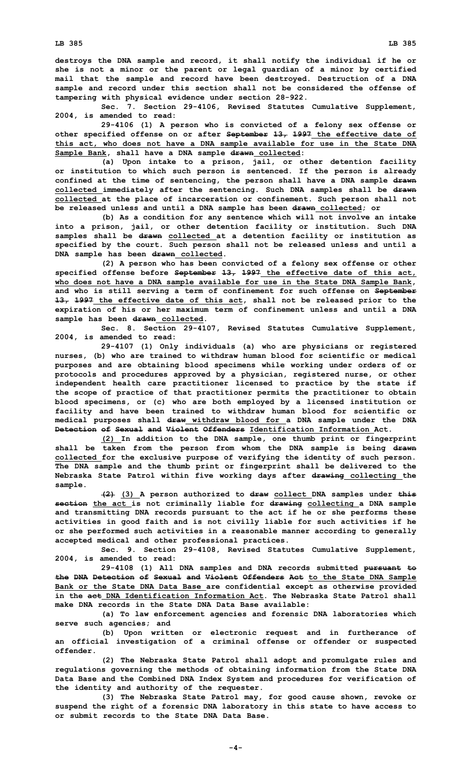**LB 385 LB 385**

**destroys the DNA sample and record, it shall notify the individual if he or she is not <sup>a</sup> minor or the parent or legal guardian of <sup>a</sup> minor by certified mail that the sample and record have been destroyed. Destruction of <sup>a</sup> DNA sample and record under this section shall not be considered the offense of tampering with physical evidence under section 28-922.**

**Sec. 7. Section 29-4106, Revised Statutes Cumulative Supplement, 2004, is amended to read:**

**29-4106 (1) <sup>A</sup> person who is convicted of <sup>a</sup> felony sex offense or other specified offense on or after September 13, 1997 the effective date of this act, who does not have <sup>a</sup> DNA sample available for use in the State DNA Sample Bank, shall have <sup>a</sup> DNA sample drawn collected:**

**(a) Upon intake to <sup>a</sup> prison, jail, or other detention facility or institution to which such person is sentenced. If the person is already confined at the time of sentencing, the person shall have <sup>a</sup> DNA sample drawn collected immediately after the sentencing. Such DNA samples shall be drawn collected at the place of incarceration or confinement. Such person shall not be released unless and until <sup>a</sup> DNA sample has been drawn collected; or**

**(b) As <sup>a</sup> condition for any sentence which will not involve an intake into <sup>a</sup> prison, jail, or other detention facility or institution. Such DNA samples shall be drawn collected at <sup>a</sup> detention facility or institution as specified by the court. Such person shall not be released unless and until <sup>a</sup> DNA sample has been drawn collected.**

**(2) <sup>A</sup> person who has been convicted of <sup>a</sup> felony sex offense or other specified offense before September 13, 1997 the effective date of this act, who does not have <sup>a</sup> DNA sample available for use in the State DNA Sample Bank, and who is still serving <sup>a</sup> term of confinement for such offense on September 13, 1997 the effective date of this act, shall not be released prior to the expiration of his or her maximum term of confinement unless and until <sup>a</sup> DNA sample has been drawn collected.**

**Sec. 8. Section 29-4107, Revised Statutes Cumulative Supplement, 2004, is amended to read:**

**29-4107 (1) Only individuals (a) who are physicians or registered nurses, (b) who are trained to withdraw human blood for scientific or medical purposes and are obtaining blood specimens while working under orders of or protocols and procedures approved by <sup>a</sup> physician, registered nurse, or other independent health care practitioner licensed to practice by the state if the scope of practice of that practitioner permits the practitioner to obtain blood specimens, or (c) who are both employed by <sup>a</sup> licensed institution or facility and have been trained to withdraw human blood for scientific or medical purposes shall draw withdraw blood for <sup>a</sup> DNA sample under the DNA Detection of Sexual and Violent Offenders Identification Information Act.**

**(2) In addition to the DNA sample, one thumb print or fingerprint shall be taken from the person from whom the DNA sample is being drawn collected for the exclusive purpose of verifying the identity of such person. The DNA sample and the thumb print or fingerprint shall be delivered to the Nebraska State Patrol within five working days after drawing collecting the sample.**

**(2) (3) <sup>A</sup> person authorized to draw collect DNA samples under this section the act is not criminally liable for drawing collecting <sup>a</sup> DNA sample and transmitting DNA records pursuant to the act if he or she performs these activities in good faith and is not civilly liable for such activities if he or she performed such activities in <sup>a</sup> reasonable manner according to generally accepted medical and other professional practices.**

**Sec. 9. Section 29-4108, Revised Statutes Cumulative Supplement, 2004, is amended to read:**

**29-4108 (1) All DNA samples and DNA records submitted pursuant to the DNA Detection of Sexual and Violent Offenders Act to the State DNA Sample Bank or the State DNA Data Base are confidential except as otherwise provided in the act DNA Identification Information Act. The Nebraska State Patrol shall make DNA records in the State DNA Data Base available:**

**(a) To law enforcement agencies and forensic DNA laboratories which serve such agencies; and**

**(b) Upon written or electronic request and in furtherance of an official investigation of <sup>a</sup> criminal offense or offender or suspected offender.**

**(2) The Nebraska State Patrol shall adopt and promulgate rules and regulations governing the methods of obtaining information from the State DNA Data Base and the Combined DNA Index System and procedures for verification of the identity and authority of the requester.**

**(3) The Nebraska State Patrol may, for good cause shown, revoke or suspend the right of <sup>a</sup> forensic DNA laboratory in this state to have access to or submit records to the State DNA Data Base.**